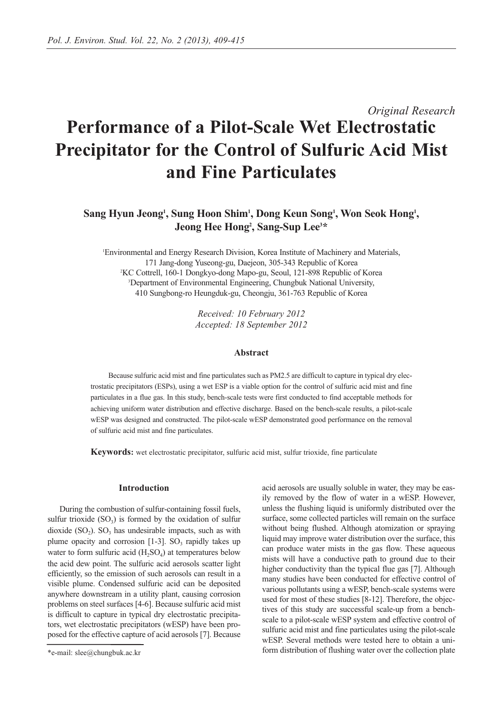# *Original Research* **Performance of a Pilot-Scale Wet Electrostatic Precipitator for the Control of Sulfuric Acid Mist and Fine Particulates**

# Sang Hyun Jeong<sup>1</sup>, Sung Hoon Shim<sup>1</sup>, Dong Keun Song<sup>1</sup>, Won Seok Hong<sup>1</sup>, **Jeong Hee Hong2 , Sang-Sup Lee3 \***

1 Environmental and Energy Research Division, Korea Institute of Machinery and Materials, 171 Jang-dong Yuseong-gu, Daejeon, 305-343 Republic of Korea 2 KC Cottrell, 160-1 Dongkyo-dong Mapo-gu, Seoul, 121-898 Republic of Korea 3 Department of Environmental Engineering, Chungbuk National University, 410 Sungbong-ro Heungduk-gu, Cheongju, 361-763 Republic of Korea

> *Received: 10 February 2012 Accepted: 18 September 2012*

## **Abstract**

Because sulfuric acid mist and fine particulates such as PM2.5 are difficult to capture in typical dry electrostatic precipitators (ESPs), using a wet ESP is a viable option for the control of sulfuric acid mist and fine particulates in a flue gas. In this study, bench-scale tests were first conducted to find acceptable methods for achieving uniform water distribution and effective discharge. Based on the bench-scale results, a pilot-scale wESP was designed and constructed. The pilot-scale wESP demonstrated good performance on the removal of sulfuric acid mist and fine particulates.

**Keywords:** wet electrostatic precipitator, sulfuric acid mist, sulfur trioxide, fine particulate

# **Introduction**

During the combustion of sulfur-containing fossil fuels, sulfur trioxide  $(SO_3)$  is formed by the oxidation of sulfur dioxide  $(SO<sub>2</sub>)$ .  $SO<sub>3</sub>$  has undesirable impacts, such as with plume opacity and corrosion  $[1-3]$ . SO<sub>3</sub> rapidly takes up water to form sulfuric acid  $(H_2SO_4)$  at temperatures below the acid dew point. The sulfuric acid aerosols scatter light efficiently, so the emission of such aerosols can result in a visible plume. Condensed sulfuric acid can be deposited anywhere downstream in a utility plant, causing corrosion problems on steel surfaces [4-6]. Because sulfuric acid mist is difficult to capture in typical dry electrostatic precipitators, wet electrostatic precipitators (wESP) have been proposed for the effective capture of acid aerosols [7]. Because acid aerosols are usually soluble in water, they may be easily removed by the flow of water in a wESP. However, unless the flushing liquid is uniformly distributed over the surface, some collected particles will remain on the surface without being flushed. Although atomization or spraying liquid may improve water distribution over the surface, this can produce water mists in the gas flow. These aqueous mists will have a conductive path to ground due to their higher conductivity than the typical flue gas [7]. Although many studies have been conducted for effective control of various pollutants using a wESP, bench-scale systems were used for most of these studies [8-12]. Therefore, the objectives of this study are successful scale-up from a benchscale to a pilot-scale wESP system and effective control of sulfuric acid mist and fine particulates using the pilot-scale wESP. Several methods were tested here to obtain a uniform distribution of flushing water over the collection plate

<sup>\*</sup>e-mail: slee@chungbuk.ac.kr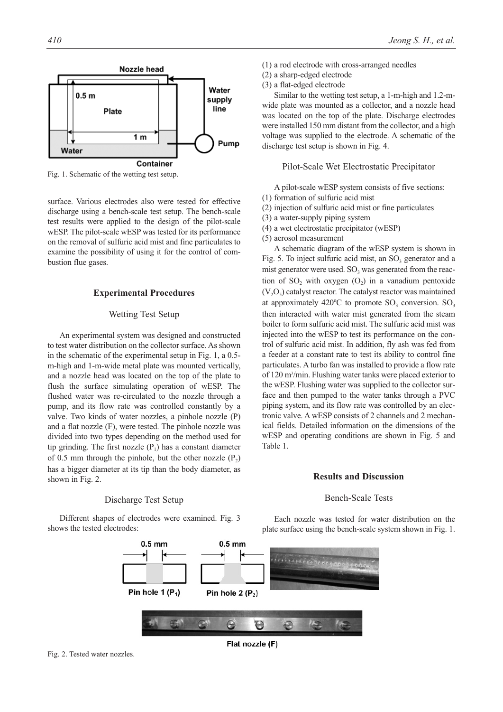

Fig. 1. Schematic of the wetting test setup.

surface. Various electrodes also were tested for effective discharge using a bench-scale test setup. The bench-scale test results were applied to the design of the pilot-scale wESP. The pilot-scale wESP was tested for its performance on the removal of sulfuric acid mist and fine particulates to examine the possibility of using it for the control of combustion flue gases.

## **Experimental Procedures**

# Wetting Test Setup

An experimental system was designed and constructed to test water distribution on the collector surface. As shown in the schematic of the experimental setup in Fig. 1, a 0.5 m-high and 1-m-wide metal plate was mounted vertically, and a nozzle head was located on the top of the plate to flush the surface simulating operation of wESP. The flushed water was re-circulated to the nozzle through a pump, and its flow rate was controlled constantly by a valve. Two kinds of water nozzles, a pinhole nozzle (P) and a flat nozzle (F), were tested. The pinhole nozzle was divided into two types depending on the method used for tip grinding. The first nozzle  $(P_1)$  has a constant diameter of 0.5 mm through the pinhole, but the other nozzle  $(P_2)$ has a bigger diameter at its tip than the body diameter, as shown in Fig. 2.

## Discharge Test Setup

Different shapes of electrodes were examined. Fig. 3 shows the tested electrodes:

- (1) a rod electrode with cross-arranged needles
- (2) a sharp-edged electrode
- (3) a flat-edged electrode

Similar to the wetting test setup, a 1-m-high and 1.2-mwide plate was mounted as a collector, and a nozzle head was located on the top of the plate. Discharge electrodes were installed 150 mm distant from the collector, and a high voltage was supplied to the electrode. A schematic of the discharge test setup is shown in Fig. 4.

## Pilot-Scale Wet Electrostatic Precipitator

A pilot-scale wESP system consists of five sections:

- (1) formation of sulfuric acid mist
- (2) injection of sulfuric acid mist or fine particulates
- (3) a water-supply piping system
- (4) a wet electrostatic precipitator (wESP)
- (5) aerosol measurement

A schematic diagram of the wESP system is shown in Fig. 5. To inject sulfuric acid mist, an  $SO<sub>3</sub>$  generator and a mist generator were used.  $SO<sub>3</sub>$  was generated from the reaction of SO<sub>2</sub> with oxygen  $(O<sub>2</sub>)$  in a vanadium pentoxide  $(V<sub>2</sub>O<sub>5</sub>)$  catalyst reactor. The catalyst reactor was maintained at approximately 420 $^{\circ}$ C to promote SO<sub>3</sub> conversion. SO<sub>3</sub> then interacted with water mist generated from the steam boiler to form sulfuric acid mist. The sulfuric acid mist was injected into the wESP to test its performance on the control of sulfuric acid mist. In addition, fly ash was fed from a feeder at a constant rate to test its ability to control fine particulates. A turbo fan was installed to provide a flow rate of 120 m<sup>3</sup>/min. Flushing water tanks were placed exterior to the wESP. Flushing water was supplied to the collector surface and then pumped to the water tanks through a PVC piping system, and its flow rate was controlled by an electronic valve. A wESP consists of 2 channels and 2 mechanical fields. Detailed information on the dimensions of the wESP and operating conditions are shown in Fig. 5 and Table 1.

# **Results and Discussion**

# Bench-Scale Tests

Each nozzle was tested for water distribution on the plate surface using the bench-scale system shown in Fig. 1.



Flat nozzle (F)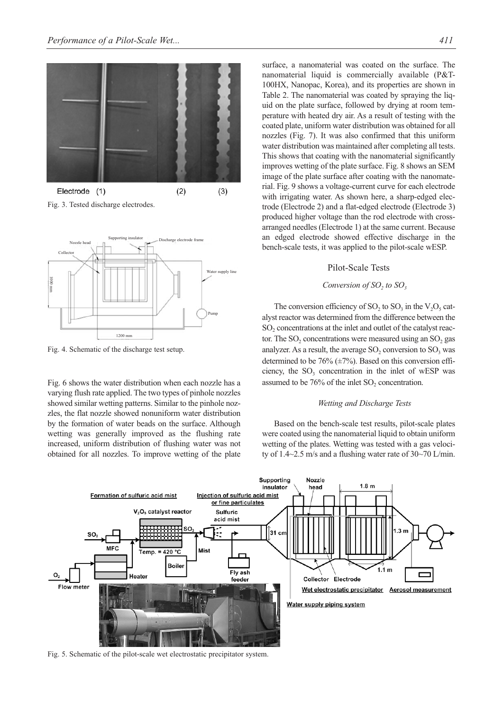

 $(2)$  $(3)$ Electrode (1) Fig. 3. Tested discharge electrodes.



Fig. 4. Schematic of the discharge test setup.

Fig. 6 shows the water distribution when each nozzle has a varying flush rate applied. The two types of pinhole nozzles showed similar wetting patterns. Similar to the pinhole nozzles, the flat nozzle showed nonuniform water distribution by the formation of water beads on the surface. Although wetting was generally improved as the flushing rate increased, uniform distribution of flushing water was not obtained for all nozzles. To improve wetting of the plate surface, a nanomaterial was coated on the surface. The nanomaterial liquid is commercially available (P&T-100HX, Nanopac, Korea), and its properties are shown in Table 2. The nanomaterial was coated by spraying the liquid on the plate surface, followed by drying at room temperature with heated dry air. As a result of testing with the coated plate, uniform water distribution was obtained for all nozzles (Fig. 7). It was also confirmed that this uniform water distribution was maintained after completing all tests. This shows that coating with the nanomaterial significantly improves wetting of the plate surface. Fig. 8 shows an SEM image of the plate surface after coating with the nanomaterial. Fig. 9 shows a voltage-current curve for each electrode with irrigating water. As shown here, a sharp-edged electrode (Electrode 2) and a flat-edged electrode (Electrode 3) produced higher voltage than the rod electrode with crossarranged needles (Electrode 1) at the same current. Because an edged electrode showed effective discharge in the bench-scale tests, it was applied to the pilot-scale wESP.

#### Pilot-Scale Tests

## *Conversion of SO<sub>2</sub> to SO<sub>3</sub>*

The conversion efficiency of SO<sub>2</sub> to SO<sub>3</sub> in the  $V_2O_5$  catalyst reactor was determined from the difference between the  $SO<sub>2</sub>$  concentrations at the inlet and outlet of the catalyst reactor. The  $SO<sub>2</sub>$  concentrations were measured using an  $SO<sub>2</sub>$  gas analyzer. As a result, the average  $SO_2$  conversion to  $SO_3$  was determined to be  $76\%$  ( $\pm 7\%$ ). Based on this conversion efficiency, the  $SO<sub>3</sub>$  concentration in the inlet of wESP was assumed to be 76% of the inlet SO<sub>2</sub> concentration.

#### *Wetting and Discharge Tests*

Based on the bench-scale test results, pilot-scale plates were coated using the nanomaterial liquid to obtain uniform wetting of the plates. Wetting was tested with a gas velocity of 1.4~2.5 m/s and a flushing water rate of 30~70 L/min.

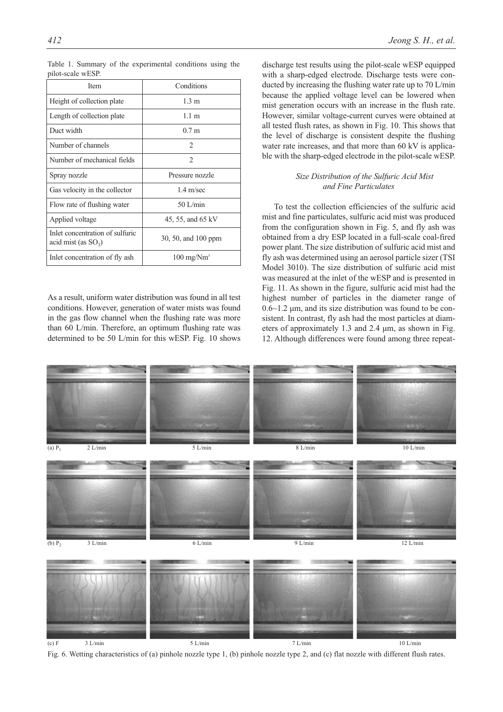| <b>Item</b>                                               | Conditions                   |  |
|-----------------------------------------------------------|------------------------------|--|
| Height of collection plate                                | 1.3 m                        |  |
| Length of collection plate                                | 1.1 m                        |  |
| Duct width                                                | 0.7 m                        |  |
| Number of channels                                        | $\mathcal{D}_{\mathcal{L}}$  |  |
| Number of mechanical fields                               | 2                            |  |
| Spray nozzle                                              | Pressure nozzle              |  |
| Gas velocity in the collector                             | $1.4 \text{ m/sec}$          |  |
| Flow rate of flushing water                               | $50$ L/min                   |  |
| Applied voltage                                           | 45, 55, and 65 kV            |  |
| Inlet concentration of sulfuric<br>acid mist (as $SO_3$ ) | 30, 50, and 100 ppm          |  |
| Inlet concentration of fly ash                            | $100 \text{ mg}/\text{Nm}^3$ |  |

Table 1. Summary of the experimental conditions using the pilot-scale wESP.

As a result, uniform water distribution was found in all test conditions. However, generation of water mists was found in the gas flow channel when the flushing rate was more than 60 L/min. Therefore, an optimum flushing rate was determined to be 50 L/min for this wESP. Fig. 10 shows discharge test results using the pilot-scale wESP equipped with a sharp-edged electrode. Discharge tests were conducted by increasing the flushing water rate up to 70 L/min because the applied voltage level can be lowered when mist generation occurs with an increase in the flush rate. However, similar voltage-current curves were obtained at all tested flush rates, as shown in Fig. 10. This shows that the level of discharge is consistent despite the flushing water rate increases, and that more than 60 kV is applicable with the sharp-edged electrode in the pilot-scale wESP.

# *Size Distribution of the Sulfuric Acid Mist and Fine Particulates*

To test the collection efficiencies of the sulfuric acid mist and fine particulates, sulfuric acid mist was produced from the configuration shown in Fig. 5, and fly ash was obtained from a dry ESP located in a full-scale coal-fired power plant. The size distribution of sulfuric acid mist and fly ash was determined using an aerosol particle sizer (TSI Model 3010). The size distribution of sulfuric acid mist was measured at the inlet of the wESP and is presented in Fig. 11. As shown in the figure, sulfuric acid mist had the highest number of particles in the diameter range of  $0.6~1.2 \mu$ m, and its size distribution was found to be consistent. In contrast, fly ash had the most particles at diameters of approximately 1.3 and 2.4 μm, as shown in Fig. 12. Although differences were found among three repeat-



Fig. 6. Wetting characteristics of (a) pinhole nozzle type 1, (b) pinhole nozzle type 2, and (c) flat nozzle with different flush rates.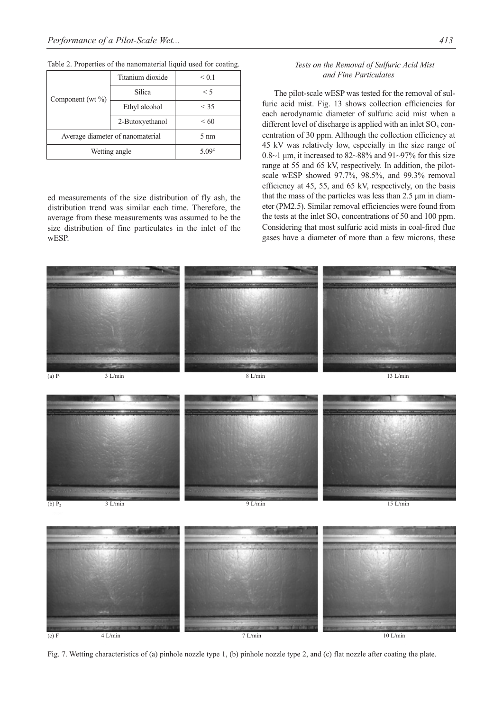| Component (wt $\%$ )             | Titanium dioxide | < 0.1           |
|----------------------------------|------------------|-----------------|
|                                  | Silica           | $\leq 5$        |
|                                  | Ethyl alcohol    | < 35            |
|                                  | 2-Butoxyethanol  | <60             |
| Average diameter of nanomaterial |                  | $5 \text{ nm}$  |
| Wetting angle                    |                  | 5.09 $^{\circ}$ |

Table 2. Properties of the nanomaterial liquid used for coating.

ed measurements of the size distribution of fly ash, the distribution trend was similar each time. Therefore, the average from these measurements was assumed to be the size distribution of fine particulates in the inlet of the wESP.

# *Tests on the Removal of Sulfuric Acid Mist and Fine Particulates*

The pilot-scale wESP was tested for the removal of sulfuric acid mist. Fig. 13 shows collection efficiencies for each aerodynamic diameter of sulfuric acid mist when a different level of discharge is applied with an inlet  $SO<sub>3</sub>$  concentration of 30 ppm. Although the collection efficiency at 45 kV was relatively low, especially in the size range of  $0.8~1 \mu m$ , it increased to  $82~88\%$  and  $91~97\%$  for this size range at 55 and 65 kV, respectively. In addition, the pilotscale wESP showed 97.7%, 98.5%, and 99.3% removal efficiency at 45, 55, and 65 kV, respectively, on the basis that the mass of the particles was less than 2.5 μm in diameter (PM2.5). Similar removal efficiencies were found from the tests at the inlet  $SO<sub>3</sub>$  concentrations of 50 and 100 ppm. Considering that most sulfuric acid mists in coal-fired flue gases have a diameter of more than a few microns, these



Fig. 7. Wetting characteristics of (a) pinhole nozzle type 1, (b) pinhole nozzle type 2, and (c) flat nozzle after coating the plate.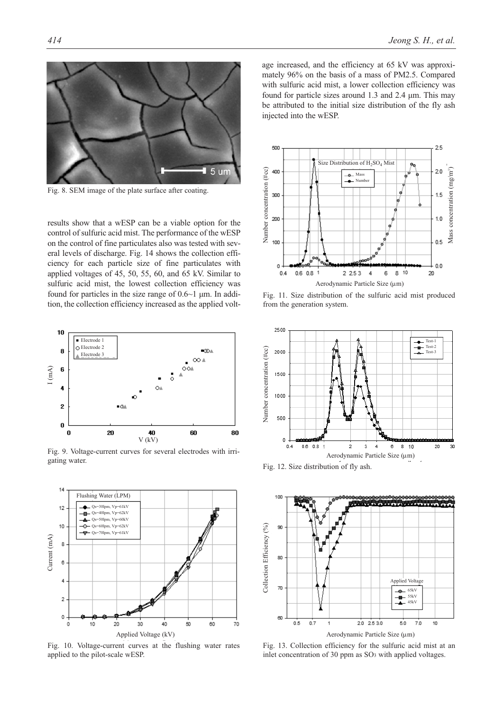

Fig. 8. SEM image of the plate surface after coating.

results show that a wESP can be a viable option for the control of sulfuric acid mist. The performance of the wESP on the control of fine particulates also was tested with several levels of discharge. Fig. 14 shows the collection efficiency for each particle size of fine particulates with applied voltages of 45, 50, 55, 60, and 65 kV. Similar to sulfuric acid mist, the lowest collection efficiency was found for particles in the size range of 0.6~1 μm. In addition, the collection efficiency increased as the applied volt-



Fig. 9. Voltage-current curves for several electrodes with irrigating water.



Fig. 10. Voltage-current curves at the flushing water rates applied to the pilot-scale wESP.

age increased, and the efficiency at 65 kV was approximately 96% on the basis of a mass of PM2.5. Compared with sulfuric acid mist, a lower collection efficiency was found for particle sizes around 1.3 and 2.4 μm. This may be attributed to the initial size distribution of the fly ash injected into the wESP.



Fig. 11. Size distribution of the sulfuric acid mist produced from the generation system.



Fig. 12. Size distribution of fly ash.



Fig. 13. Collection efficiency for the sulfuric acid mist at an inlet concentration of 30 ppm as SO3 with applied voltages.